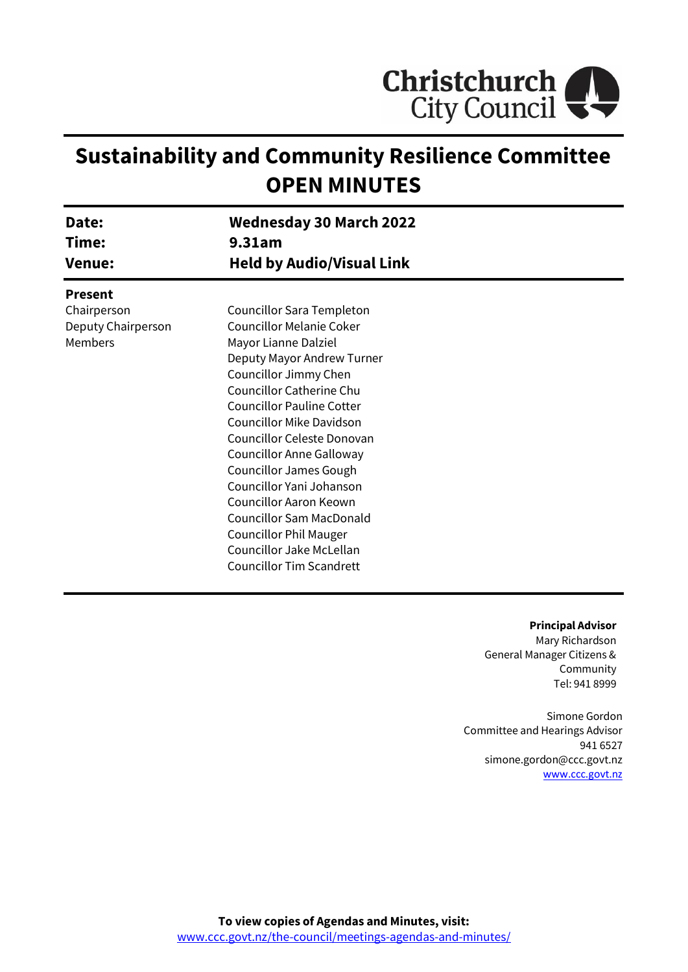

# **Sustainability and Community Resilience Committee OPEN MINUTES**

| Date:              | <b>Wednesday 30 March 2022</b>   |
|--------------------|----------------------------------|
| Time:              | 9.31am                           |
| <b>Venue:</b>      | <b>Held by Audio/Visual Link</b> |
| <b>Present</b>     |                                  |
| Chairperson        | Councillor Sara Templeton        |
| Deputy Chairperson | <b>Councillor Melanie Coker</b>  |
| Members            | Mayor Lianne Dalziel             |
|                    | Deputy Mayor Andrew Turner       |
|                    | Councillor Jimmy Chen            |
|                    | Councillor Catherine Chu         |
|                    | <b>Councillor Pauline Cotter</b> |
|                    | <b>Councillor Mike Davidson</b>  |
|                    | Councillor Celeste Donovan       |
|                    | <b>Councillor Anne Galloway</b>  |
|                    | <b>Councillor James Gough</b>    |
|                    | Councillor Yani Johanson         |
|                    | Councillor Aaron Keown           |
|                    | <b>Councillor Sam MacDonald</b>  |
|                    | <b>Councillor Phil Mauger</b>    |
|                    | Councillor Jake McLellan         |
|                    | <b>Councillor Tim Scandrett</b>  |

#### **Principal Advisor**

Mary Richardson General Manager Citizens & Community Tel: 941 8999

Simone Gordon Committee and Hearings Advisor 941 6527 simone.gordon@ccc.govt.nz [www.ccc.govt.nz](http://www.ccc.govt.nz/)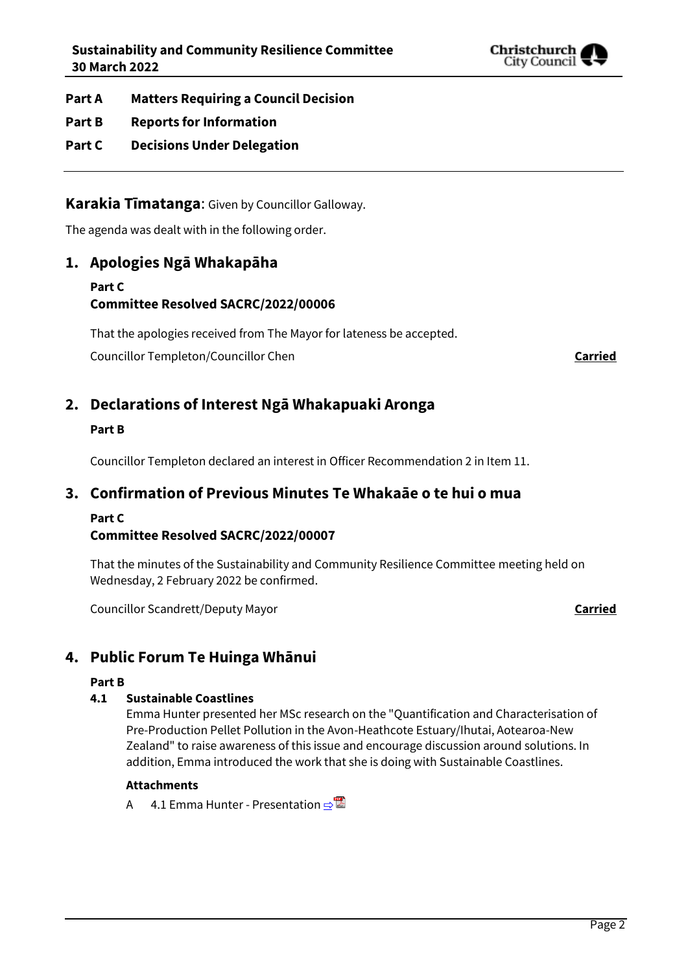

**Part A Matters Requiring a Council Decision**

- **Part B Reports for Information**
- **Part C Decisions Under Delegation**

**Karakia Tīmatanga**: Given by Councillor Galloway.

The agenda was dealt with in the following order.

## **1. Apologies Ngā Whakapāha**

## **Part C Committee Resolved SACRC/2022/00006**

That the apologies received from The Mayor for lateness be accepted.

Councillor Templeton/Councillor Chen **Carried**

## **2. Declarations of Interest Ngā Whakapuaki Aronga**

## **Part B**

Councillor Templeton declared an interest in Officer Recommendation 2 in Item 11.

## **3. Confirmation of Previous Minutes Te Whakaāe o te hui o mua**

## **Part C**

## **Committee Resolved SACRC/2022/00007**

That the minutes of the Sustainability and Community Resilience Committee meeting held on Wednesday, 2 February 2022 be confirmed.

Councillor Scandrett/Deputy Mayor **Carried**

## **4. Public Forum Te Huinga Whānui**

### **Part B**

## **4.1 Sustainable Coastlines**

Emma Hunter presented her MSc research on the "Quantification and Characterisation of Pre-Production Pellet Pollution in the Avon-Heathcote Estuary/Ihutai, Aotearoa-New Zealand" to raise awareness of this issue and encourage discussion around solutions. In addition, Emma introduced the work that she is doing with Sustainable Coastlines.

### **Attachments**

A 4.1 Emma Hunter - Presentation  $\Rightarrow$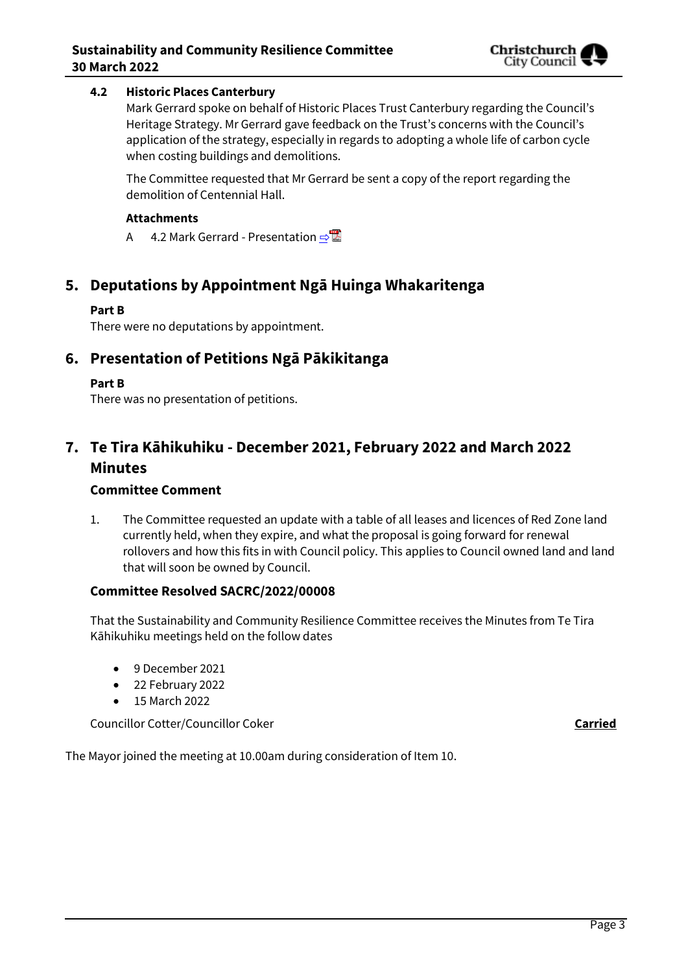## **4.2 Historic Places Canterbury**

Mark Gerrard spoke on behalf of Historic Places Trust Canterbury regarding the Council's Heritage Strategy. Mr Gerrard gave feedback on the Trust's concerns with the Council's application of the strategy, especially in regards to adopting a whole life of carbon cycle when costing buildings and demolitions.

The Committee requested that Mr Gerrard be sent a copy of the report regarding the demolition of Centennial Hall.

#### **Attachments**

A 4.2 Mark Gerrard - Presentation **[⇨](../../../RedirectToInvalidFileName.aspx?FileName=SACRC_20220330_MAT_7538.PDF#PAGE=12)</u>** 

## **5. Deputations by Appointment Ngā Huinga Whakaritenga**

### **Part B**

There were no deputations by appointment.

## **6. Presentation of Petitions Ngā Pākikitanga**

### **Part B**

There was no presentation of petitions.

## **7. Te Tira Kāhikuhiku - December 2021, February 2022 and March 2022 Minutes**

#### **Committee Comment**

1. The Committee requested an update with a table of all leases and licences of Red Zone land currently held, when they expire, and what the proposal is going forward for renewal rollovers and how this fits in with Council policy. This applies to Council owned land and land that will soon be owned by Council.

### **Committee Resolved SACRC/2022/00008**

That the Sustainability and Community Resilience Committee receives the Minutes from Te Tira Kāhikuhiku meetings held on the follow dates

- 9 December 2021
- 22 February 2022
- 15 March 2022

Councillor Cotter/Councillor Coker **Carried**

The Mayor joined the meeting at 10.00am during consideration of Item 10.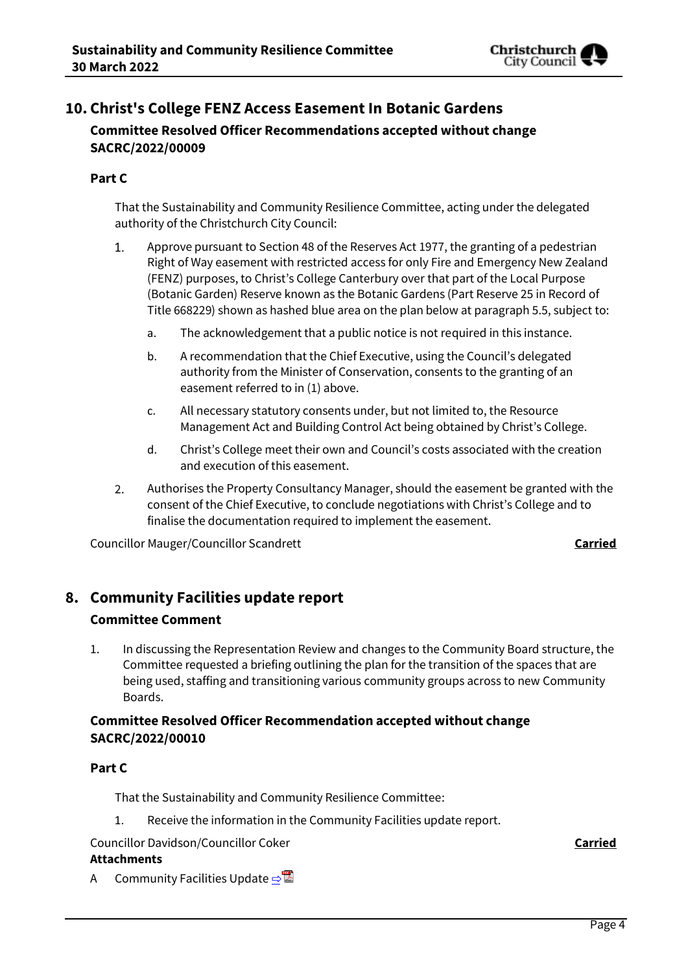

## **10. Christ's College FENZ Access Easement In Botanic Gardens Committee Resolved Officer Recommendations accepted without change SACRC/2022/00009**

## **Part C**

That the Sustainability and Community Resilience Committee, acting under the delegated authority of the Christchurch City Council:

- Approve pursuant to Section 48 of the Reserves Act 1977, the granting of a pedestrian 1. Right of Way easement with restricted access for only Fire and Emergency New Zealand (FENZ) purposes, to Christ's College Canterbury over that part of the Local Purpose (Botanic Garden) Reserve known as the Botanic Gardens (Part Reserve 25 in Record of Title 668229) shown as hashed blue area on the plan below at paragraph 5.5, subject to:
	- a. The acknowledgement that a public notice is not required in this instance.
	- b. A recommendation that the Chief Executive, using the Council's delegated authority from the Minister of Conservation, consents to the granting of an easement referred to in (1) above.
	- c. All necessary statutory consents under, but not limited to, the Resource Management Act and Building Control Act being obtained by Christ's College.
	- d. Christ's College meet their own and Council's costs associated with the creation and execution of this easement.
- Authorises the Property Consultancy Manager, should the easement be granted with the 2. consent of the Chief Executive, to conclude negotiations with Christ's College and to finalise the documentation required to implement the easement.

Councillor Mauger/Councillor Scandrett **Carried**

## **8. Community Facilities update report**

## **Committee Comment**

1. In discussing the Representation Review and changes to the Community Board structure, the Committee requested a briefing outlining the plan for the transition of the spaces that are being used, staffing and transitioning various community groups across to new Community Boards.

## **Committee Resolved Officer Recommendation accepted without change SACRC/2022/00010**

## **Part C**

That the Sustainability and Community Resilience Committee:

1. Receive the information in the Community Facilities update report.

Councillor Davidson/Councillor Coker **Carried**

### **Attachments**

A Community Facilities Update  $\Rightarrow$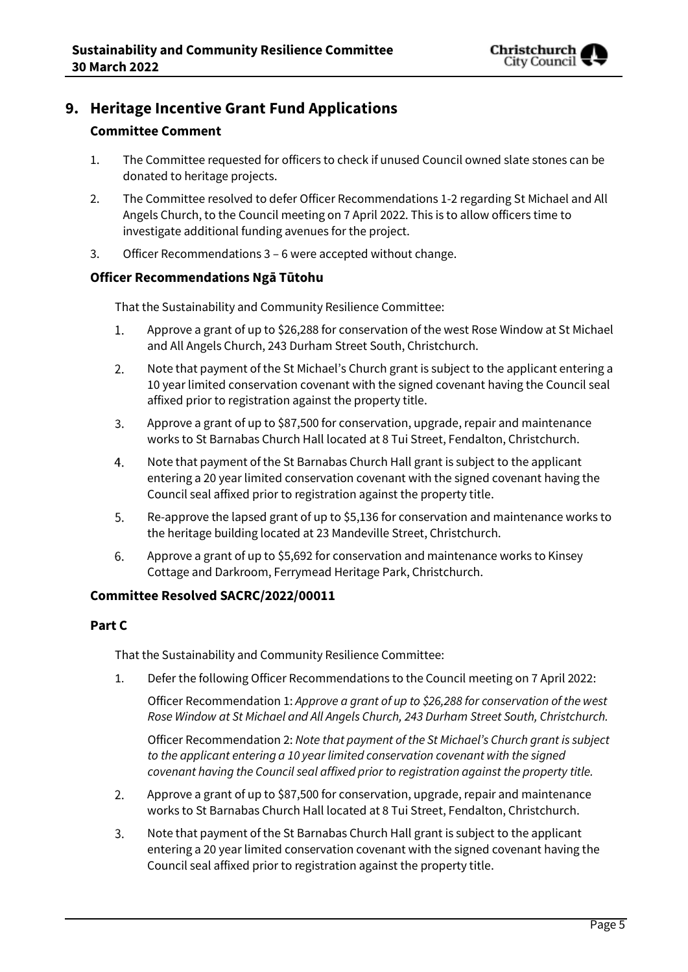

## **9. Heritage Incentive Grant Fund Applications**

## **Committee Comment**

- 1. The Committee requested for officers to check if unused Council owned slate stones can be donated to heritage projects.
- 2. The Committee resolved to defer Officer Recommendations 1-2 regarding St Michael and All Angels Church, to the Council meeting on 7 April 2022. This is to allow officers time to investigate additional funding avenues for the project.
- 3. Officer Recommendations 3 6 were accepted without change.

## **Officer Recommendations Ngā Tūtohu**

That the Sustainability and Community Resilience Committee:

- $1.$ Approve a grant of up to \$26,288 for conservation of the west Rose Window at St Michael and All Angels Church, 243 Durham Street South, Christchurch.
- Note that payment of the St Michael's Church grant is subject to the applicant entering a  $2.$ 10 year limited conservation covenant with the signed covenant having the Council seal affixed prior to registration against the property title.
- 3. Approve a grant of up to \$87,500 for conservation, upgrade, repair and maintenance works to St Barnabas Church Hall located at 8 Tui Street, Fendalton, Christchurch.
- 4. Note that payment of the St Barnabas Church Hall grant is subject to the applicant entering a 20 year limited conservation covenant with the signed covenant having the Council seal affixed prior to registration against the property title.
- 5. Re-approve the lapsed grant of up to \$5,136 for conservation and maintenance works to the heritage building located at 23 Mandeville Street, Christchurch.
- Approve a grant of up to \$5,692 for conservation and maintenance works to Kinsey 6. Cottage and Darkroom, Ferrymead Heritage Park, Christchurch.

## **Committee Resolved SACRC/2022/00011**

### **Part C**

That the Sustainability and Community Resilience Committee:

1. Defer the following Officer Recommendations to the Council meeting on 7 April 2022:

Officer Recommendation 1: *Approve a grant of up to \$26,288 for conservation of the west Rose Window at St Michael and All Angels Church, 243 Durham Street South, Christchurch.*

Officer Recommendation 2: *Note that payment of the St Michael's Church grant is subject to the applicant entering a 10 year limited conservation covenant with the signed covenant having the Council seal affixed prior to registration against the property title.*

- $2.$ Approve a grant of up to \$87,500 for conservation, upgrade, repair and maintenance works to St Barnabas Church Hall located at 8 Tui Street, Fendalton, Christchurch.
- 3. Note that payment of the St Barnabas Church Hall grant is subject to the applicant entering a 20 year limited conservation covenant with the signed covenant having the Council seal affixed prior to registration against the property title.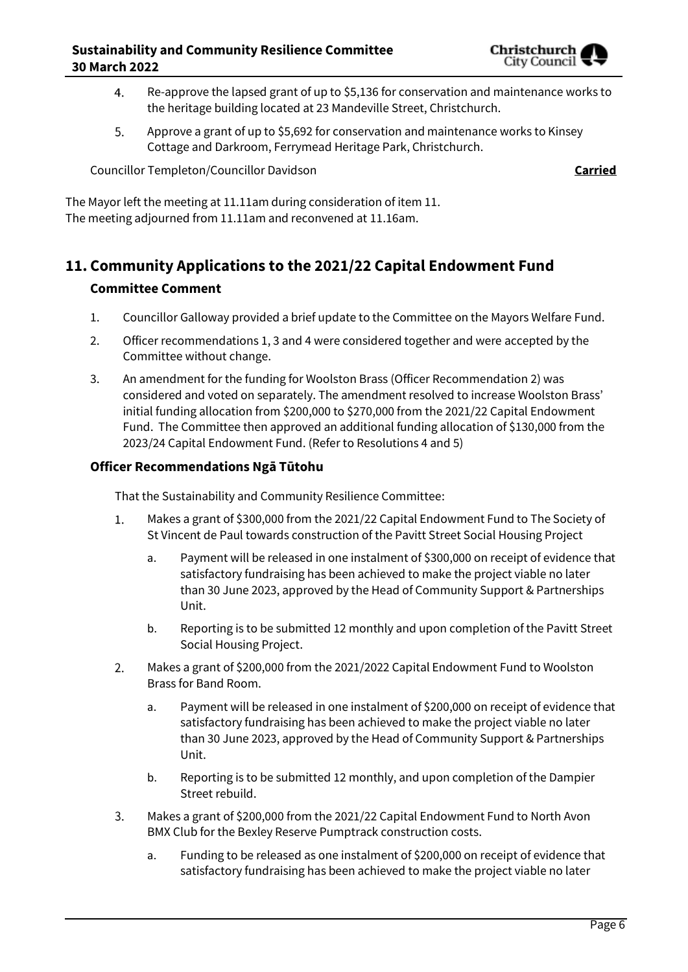

- Re-approve the lapsed grant of up to \$5,136 for conservation and maintenance works to  $4.$ the heritage building located at 23 Mandeville Street, Christchurch.
- 5. Approve a grant of up to \$5,692 for conservation and maintenance works to Kinsey Cottage and Darkroom, Ferrymead Heritage Park, Christchurch.

Councillor Templeton/Councillor Davidson **Carried**

The Mayor left the meeting at 11.11am during consideration of item 11. The meeting adjourned from 11.11am and reconvened at 11.16am.

## **11. Community Applications to the 2021/22 Capital Endowment Fund Committee Comment**

- 1. Councillor Galloway provided a brief update to the Committee on the Mayors Welfare Fund.
- 2. Officer recommendations 1, 3 and 4 were considered together and were accepted by the Committee without change.
- 3. An amendment for the funding for Woolston Brass (Officer Recommendation 2) was considered and voted on separately. The amendment resolved to increase Woolston Brass' initial funding allocation from \$200,000 to \$270,000 from the 2021/22 Capital Endowment Fund. The Committee then approved an additional funding allocation of \$130,000 from the 2023/24 Capital Endowment Fund. (Refer to Resolutions 4 and 5)

## **Officer Recommendations Ngā Tūtohu**

That the Sustainability and Community Resilience Committee:

- 1. Makes a grant of \$300,000 from the 2021/22 Capital Endowment Fund to The Society of St Vincent de Paul towards construction of the Pavitt Street Social Housing Project
	- a. Payment will be released in one instalment of \$300,000 on receipt of evidence that satisfactory fundraising has been achieved to make the project viable no later than 30 June 2023, approved by the Head of Community Support & Partnerships Unit.
	- b. Reporting is to be submitted 12 monthly and upon completion of the Pavitt Street Social Housing Project.
- $2.$ Makes a grant of \$200,000 from the 2021/2022 Capital Endowment Fund to Woolston Brass for Band Room.
	- a. Payment will be released in one instalment of \$200,000 on receipt of evidence that satisfactory fundraising has been achieved to make the project viable no later than 30 June 2023, approved by the Head of Community Support & Partnerships Unit.
	- b. Reporting is to be submitted 12 monthly, and upon completion of the Dampier Street rebuild.
- $3.$ Makes a grant of \$200,000 from the 2021/22 Capital Endowment Fund to North Avon BMX Club for the Bexley Reserve Pumptrack construction costs.
	- a. Funding to be released as one instalment of \$200,000 on receipt of evidence that satisfactory fundraising has been achieved to make the project viable no later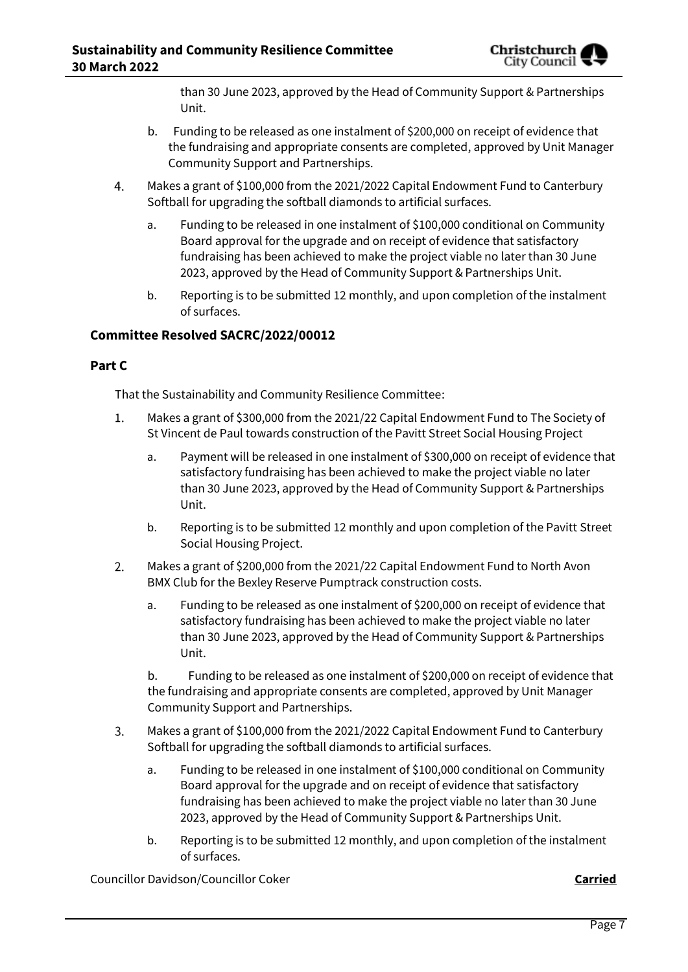than 30 June 2023, approved by the Head of Community Support & Partnerships Unit.

- b. Funding to be released as one instalment of \$200,000 on receipt of evidence that the fundraising and appropriate consents are completed, approved by Unit Manager Community Support and Partnerships.
- 4. Makes a grant of \$100,000 from the 2021/2022 Capital Endowment Fund to Canterbury Softball for upgrading the softball diamonds to artificial surfaces.
	- a. Funding to be released in one instalment of \$100,000 conditional on Community Board approval for the upgrade and on receipt of evidence that satisfactory fundraising has been achieved to make the project viable no later than 30 June 2023, approved by the Head of Community Support & Partnerships Unit.
	- b. Reporting is to be submitted 12 monthly, and upon completion of the instalment of surfaces.

## **Committee Resolved SACRC/2022/00012**

### **Part C**

That the Sustainability and Community Resilience Committee:

- $1.$ Makes a grant of \$300,000 from the 2021/22 Capital Endowment Fund to The Society of St Vincent de Paul towards construction of the Pavitt Street Social Housing Project
	- a. Payment will be released in one instalment of \$300,000 on receipt of evidence that satisfactory fundraising has been achieved to make the project viable no later than 30 June 2023, approved by the Head of Community Support & Partnerships Unit.
	- b. Reporting is to be submitted 12 monthly and upon completion of the Pavitt Street Social Housing Project.
- Makes a grant of \$200,000 from the 2021/22 Capital Endowment Fund to North Avon  $2.$ BMX Club for the Bexley Reserve Pumptrack construction costs.
	- a. Funding to be released as one instalment of \$200,000 on receipt of evidence that satisfactory fundraising has been achieved to make the project viable no later than 30 June 2023, approved by the Head of Community Support & Partnerships Unit.

b. Funding to be released as one instalment of \$200,000 on receipt of evidence that the fundraising and appropriate consents are completed, approved by Unit Manager Community Support and Partnerships.

- $3.$ Makes a grant of \$100,000 from the 2021/2022 Capital Endowment Fund to Canterbury Softball for upgrading the softball diamonds to artificial surfaces.
	- a. Funding to be released in one instalment of \$100,000 conditional on Community Board approval for the upgrade and on receipt of evidence that satisfactory fundraising has been achieved to make the project viable no later than 30 June 2023, approved by the Head of Community Support & Partnerships Unit.
	- b. Reporting is to be submitted 12 monthly, and upon completion of the instalment of surfaces.

Councillor Davidson/Councillor Coker **Carried**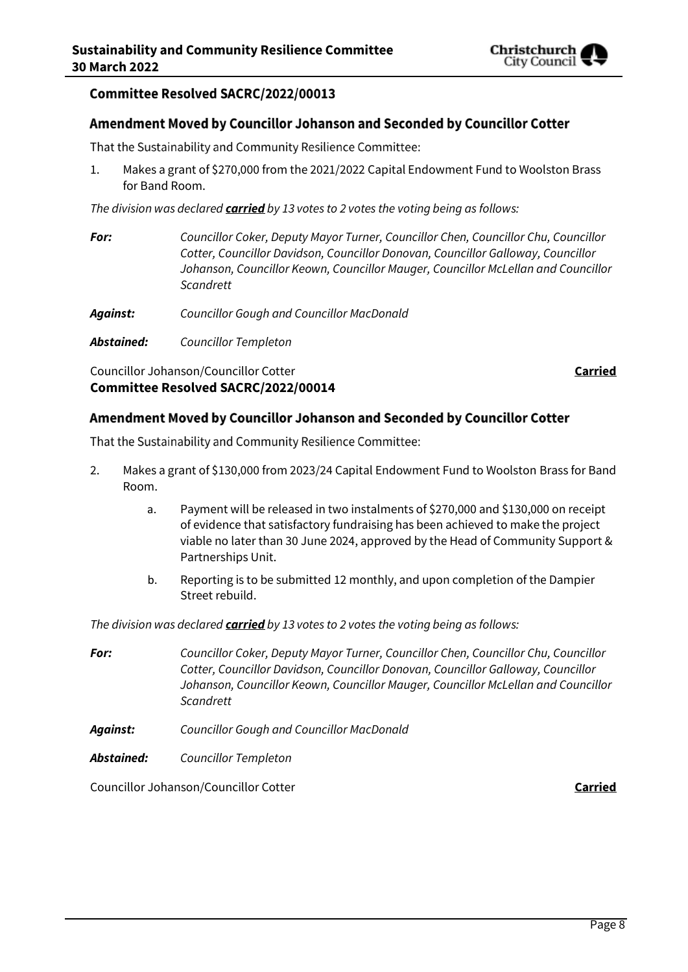

## Committee Resolved SACRC/2022/00013

#### Amendment Moved by Councillor Johanson and Seconded by Councillor Cotter

That the Sustainability and Community Resilience Committee:

1. Makes a grant of \$270,000 from the 2021/2022 Capital Endowment Fund to Woolston Brass for Band Room.

*The division was declared carried by 13 votes to 2 votes the voting being as follows:*

- *For: Councillor Coker, Deputy Mayor Turner, Councillor Chen, Councillor Chu, Councillor Cotter, Councillor Davidson, Councillor Donovan, Councillor Galloway, Councillor Johanson, Councillor Keown, Councillor Mauger, Councillor McLellan and Councillor Scandrett*
- *Against: Councillor Gough and Councillor MacDonald*
- *Abstained: Councillor Templeton*

Councillor Johanson/Councillor Cotter **Carried Committee Resolved SACRC/2022/00014**

#### Amendment Moved by Councillor Johanson and Seconded by Councillor Cotter

That the Sustainability and Community Resilience Committee:

- 2. Makes a grant of \$130,000 from 2023/24 Capital Endowment Fund to Woolston Brass for Band Room.
	- a. Payment will be released in two instalments of \$270,000 and \$130,000 on receipt of evidence that satisfactory fundraising has been achieved to make the project viable no later than 30 June 2024, approved by the Head of Community Support & Partnerships Unit.
	- b. Reporting is to be submitted 12 monthly, and upon completion of the Dampier Street rebuild.

*The division was declared carried by 13 votes to 2 votes the voting being as follows:*

- *For: Councillor Coker, Deputy Mayor Turner, Councillor Chen, Councillor Chu, Councillor Cotter, Councillor Davidson, Councillor Donovan, Councillor Galloway, Councillor Johanson, Councillor Keown, Councillor Mauger, Councillor McLellan and Councillor Scandrett*
- *Against: Councillor Gough and Councillor MacDonald*
- *Abstained: Councillor Templeton*

Councillor Johanson/Councillor Cotter **Carried**